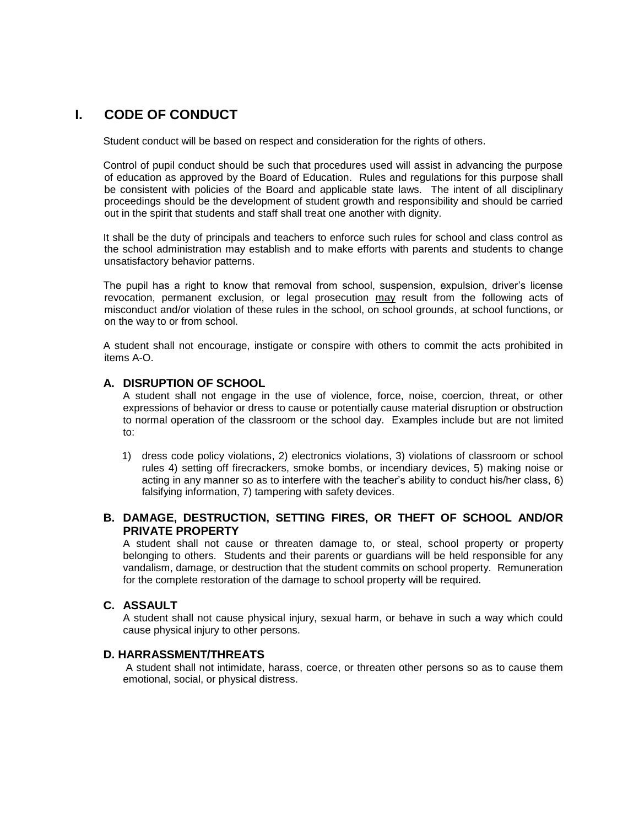# **I. CODE OF CONDUCT**

Student conduct will be based on respect and consideration for the rights of others.

Control of pupil conduct should be such that procedures used will assist in advancing the purpose of education as approved by the Board of Education. Rules and regulations for this purpose shall be consistent with policies of the Board and applicable state laws. The intent of all disciplinary proceedings should be the development of student growth and responsibility and should be carried out in the spirit that students and staff shall treat one another with dignity.

It shall be the duty of principals and teachers to enforce such rules for school and class control as the school administration may establish and to make efforts with parents and students to change unsatisfactory behavior patterns.

The pupil has a right to know that removal from school, suspension, expulsion, driver's license revocation, permanent exclusion, or legal prosecution may result from the following acts of misconduct and/or violation of these rules in the school, on school grounds, at school functions, or on the way to or from school.

A student shall not encourage, instigate or conspire with others to commit the acts prohibited in items A-O.

#### **A. DISRUPTION OF SCHOOL**

A student shall not engage in the use of violence, force, noise, coercion, threat, or other expressions of behavior or dress to cause or potentially cause material disruption or obstruction to normal operation of the classroom or the school day. Examples include but are not limited to:

1) dress code policy violations, 2) electronics violations, 3) violations of classroom or school rules 4) setting off firecrackers, smoke bombs, or incendiary devices, 5) making noise or acting in any manner so as to interfere with the teacher's ability to conduct his/her class, 6) falsifying information, 7) tampering with safety devices.

## **B. DAMAGE, DESTRUCTION, SETTING FIRES, OR THEFT OF SCHOOL AND/OR PRIVATE PROPERTY**

A student shall not cause or threaten damage to, or steal, school property or property belonging to others. Students and their parents or guardians will be held responsible for any vandalism, damage, or destruction that the student commits on school property. Remuneration for the complete restoration of the damage to school property will be required.

## **C. ASSAULT**

A student shall not cause physical injury, sexual harm, or behave in such a way which could cause physical injury to other persons.

#### **D. HARRASSMENT/THREATS**

A student shall not intimidate, harass, coerce, or threaten other persons so as to cause them emotional, social, or physical distress.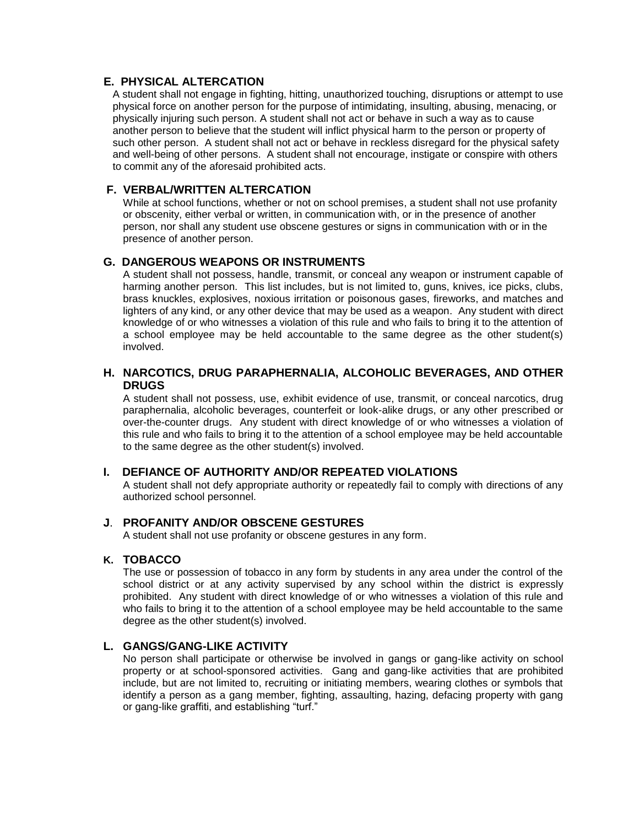## **E. PHYSICAL ALTERCATION**

A student shall not engage in fighting, hitting, unauthorized touching, disruptions or attempt to use physical force on another person for the purpose of intimidating, insulting, abusing, menacing, or physically injuring such person. A student shall not act or behave in such a way as to cause another person to believe that the student will inflict physical harm to the person or property of such other person. A student shall not act or behave in reckless disregard for the physical safety and well-being of other persons. A student shall not encourage, instigate or conspire with others to commit any of the aforesaid prohibited acts.

## **F. VERBAL/WRITTEN ALTERCATION**

While at school functions, whether or not on school premises, a student shall not use profanity or obscenity, either verbal or written, in communication with, or in the presence of another person, nor shall any student use obscene gestures or signs in communication with or in the presence of another person.

## **G. DANGEROUS WEAPONS OR INSTRUMENTS**

A student shall not possess, handle, transmit, or conceal any weapon or instrument capable of harming another person. This list includes, but is not limited to, guns, knives, ice picks, clubs, brass knuckles, explosives, noxious irritation or poisonous gases, fireworks, and matches and lighters of any kind, or any other device that may be used as a weapon. Any student with direct knowledge of or who witnesses a violation of this rule and who fails to bring it to the attention of a school employee may be held accountable to the same degree as the other student(s) involved.

## **H. NARCOTICS, DRUG PARAPHERNALIA, ALCOHOLIC BEVERAGES, AND OTHER DRUGS**

A student shall not possess, use, exhibit evidence of use, transmit, or conceal narcotics, drug paraphernalia, alcoholic beverages, counterfeit or look-alike drugs, or any other prescribed or over-the-counter drugs. Any student with direct knowledge of or who witnesses a violation of this rule and who fails to bring it to the attention of a school employee may be held accountable to the same degree as the other student(s) involved.

## **I. DEFIANCE OF AUTHORITY AND/OR REPEATED VIOLATIONS**

A student shall not defy appropriate authority or repeatedly fail to comply with directions of any authorized school personnel.

## **J**. **PROFANITY AND/OR OBSCENE GESTURES**

A student shall not use profanity or obscene gestures in any form.

#### **K. TOBACCO**

The use or possession of tobacco in any form by students in any area under the control of the school district or at any activity supervised by any school within the district is expressly prohibited. Any student with direct knowledge of or who witnesses a violation of this rule and who fails to bring it to the attention of a school employee may be held accountable to the same degree as the other student(s) involved.

## **L. GANGS/GANG-LIKE ACTIVITY**

No person shall participate or otherwise be involved in gangs or gang-like activity on school property or at school-sponsored activities. Gang and gang-like activities that are prohibited include, but are not limited to, recruiting or initiating members, wearing clothes or symbols that identify a person as a gang member, fighting, assaulting, hazing, defacing property with gang or gang-like graffiti, and establishing "turf."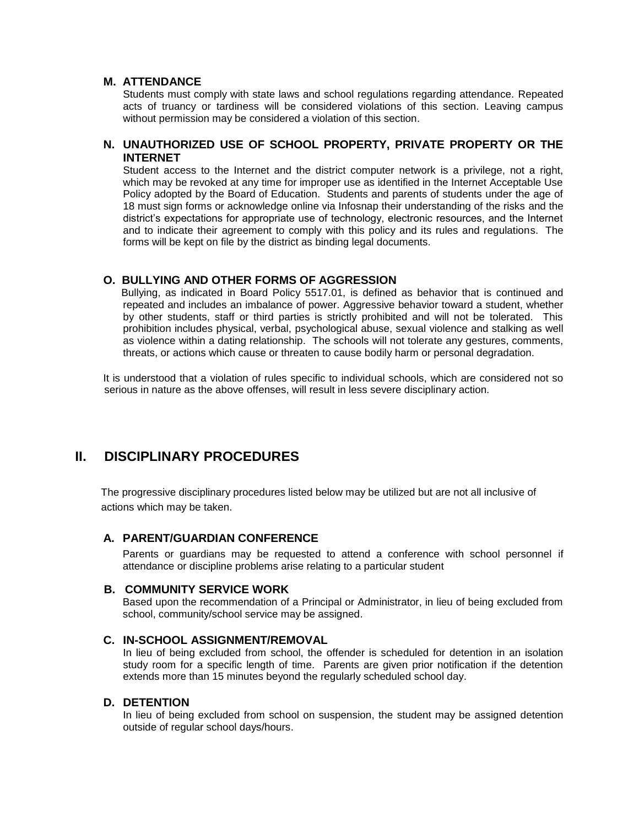#### **M. ATTENDANCE**

Students must comply with state laws and school regulations regarding attendance. Repeated acts of truancy or tardiness will be considered violations of this section. Leaving campus without permission may be considered a violation of this section.

## **N. UNAUTHORIZED USE OF SCHOOL PROPERTY, PRIVATE PROPERTY OR THE INTERNET**

Student access to the Internet and the district computer network is a privilege, not a right, which may be revoked at any time for improper use as identified in the Internet Acceptable Use Policy adopted by the Board of Education. Students and parents of students under the age of 18 must sign forms or acknowledge online via Infosnap their understanding of the risks and the district's expectations for appropriate use of technology, electronic resources, and the Internet and to indicate their agreement to comply with this policy and its rules and regulations. The forms will be kept on file by the district as binding legal documents.

## **O. BULLYING AND OTHER FORMS OF AGGRESSION**

 Bullying, as indicated in Board Policy 5517.01, is defined as behavior that is continued and repeated and includes an imbalance of power. Aggressive behavior toward a student, whether by other students, staff or third parties is strictly prohibited and will not be tolerated. This prohibition includes physical, verbal, psychological abuse, sexual violence and stalking as well as violence within a dating relationship. The schools will not tolerate any gestures, comments, threats, or actions which cause or threaten to cause bodily harm or personal degradation.

It is understood that a violation of rules specific to individual schools, which are considered not so serious in nature as the above offenses, will result in less severe disciplinary action.

# **II. DISCIPLINARY PROCEDURES**

 The progressive disciplinary procedures listed below may be utilized but are not all inclusive of actions which may be taken.

## **A. PARENT/GUARDIAN CONFERENCE**

Parents or guardians may be requested to attend a conference with school personnel if attendance or discipline problems arise relating to a particular student

## **B. COMMUNITY SERVICE WORK**

Based upon the recommendation of a Principal or Administrator, in lieu of being excluded from school, community/school service may be assigned.

## **C. IN-SCHOOL ASSIGNMENT/REMOVAL**

In lieu of being excluded from school, the offender is scheduled for detention in an isolation study room for a specific length of time. Parents are given prior notification if the detention extends more than 15 minutes beyond the regularly scheduled school day.

## **D. DETENTION**

In lieu of being excluded from school on suspension, the student may be assigned detention outside of regular school days/hours.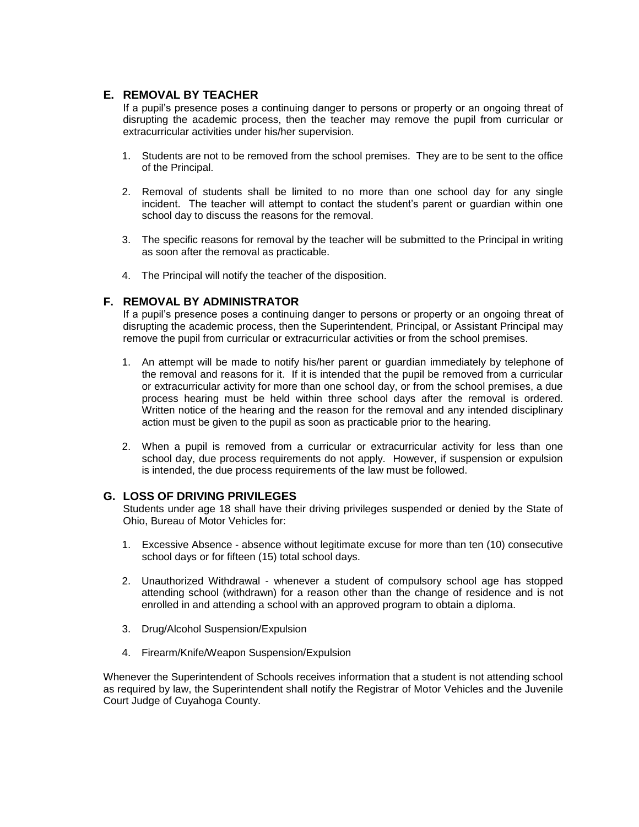## **E. REMOVAL BY TEACHER**

If a pupil's presence poses a continuing danger to persons or property or an ongoing threat of disrupting the academic process, then the teacher may remove the pupil from curricular or extracurricular activities under his/her supervision.

- 1. Students are not to be removed from the school premises. They are to be sent to the office of the Principal.
- 2. Removal of students shall be limited to no more than one school day for any single incident. The teacher will attempt to contact the student's parent or guardian within one school day to discuss the reasons for the removal.
- 3. The specific reasons for removal by the teacher will be submitted to the Principal in writing as soon after the removal as practicable.
- 4. The Principal will notify the teacher of the disposition.

## **F. REMOVAL BY ADMINISTRATOR**

If a pupil's presence poses a continuing danger to persons or property or an ongoing threat of disrupting the academic process, then the Superintendent, Principal, or Assistant Principal may remove the pupil from curricular or extracurricular activities or from the school premises.

- 1. An attempt will be made to notify his/her parent or guardian immediately by telephone of the removal and reasons for it. If it is intended that the pupil be removed from a curricular or extracurricular activity for more than one school day, or from the school premises, a due process hearing must be held within three school days after the removal is ordered. Written notice of the hearing and the reason for the removal and any intended disciplinary action must be given to the pupil as soon as practicable prior to the hearing.
- 2. When a pupil is removed from a curricular or extracurricular activity for less than one school day, due process requirements do not apply. However, if suspension or expulsion is intended, the due process requirements of the law must be followed.

## **G. LOSS OF DRIVING PRIVILEGES**

Students under age 18 shall have their driving privileges suspended or denied by the State of Ohio, Bureau of Motor Vehicles for:

- 1. Excessive Absence absence without legitimate excuse for more than ten (10) consecutive school days or for fifteen (15) total school days.
- 2. Unauthorized Withdrawal whenever a student of compulsory school age has stopped attending school (withdrawn) for a reason other than the change of residence and is not enrolled in and attending a school with an approved program to obtain a diploma.
- 3. Drug/Alcohol Suspension/Expulsion
- 4. Firearm/Knife/Weapon Suspension/Expulsion

Whenever the Superintendent of Schools receives information that a student is not attending school as required by law, the Superintendent shall notify the Registrar of Motor Vehicles and the Juvenile Court Judge of Cuyahoga County.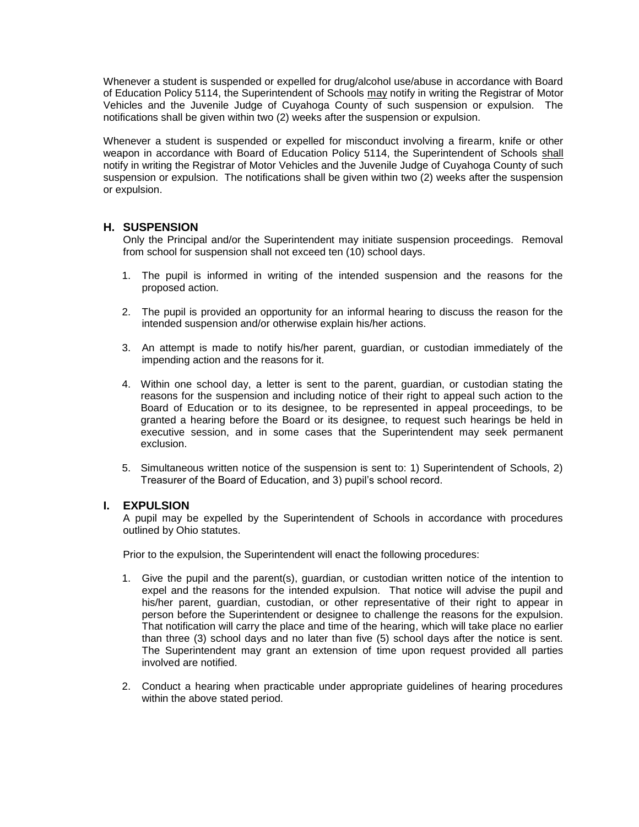Whenever a student is suspended or expelled for drug/alcohol use/abuse in accordance with Board of Education Policy 5114, the Superintendent of Schools may notify in writing the Registrar of Motor Vehicles and the Juvenile Judge of Cuyahoga County of such suspension or expulsion. The notifications shall be given within two (2) weeks after the suspension or expulsion.

Whenever a student is suspended or expelled for misconduct involving a firearm, knife or other weapon in accordance with Board of Education Policy 5114, the Superintendent of Schools shall notify in writing the Registrar of Motor Vehicles and the Juvenile Judge of Cuyahoga County of such suspension or expulsion. The notifications shall be given within two (2) weeks after the suspension or expulsion.

## **H. SUSPENSION**

Only the Principal and/or the Superintendent may initiate suspension proceedings. Removal from school for suspension shall not exceed ten (10) school days.

- 1. The pupil is informed in writing of the intended suspension and the reasons for the proposed action.
- 2. The pupil is provided an opportunity for an informal hearing to discuss the reason for the intended suspension and/or otherwise explain his/her actions.
- 3. An attempt is made to notify his/her parent, guardian, or custodian immediately of the impending action and the reasons for it.
- 4. Within one school day, a letter is sent to the parent, guardian, or custodian stating the reasons for the suspension and including notice of their right to appeal such action to the Board of Education or to its designee, to be represented in appeal proceedings, to be granted a hearing before the Board or its designee, to request such hearings be held in executive session, and in some cases that the Superintendent may seek permanent exclusion.
- 5. Simultaneous written notice of the suspension is sent to: 1) Superintendent of Schools, 2) Treasurer of the Board of Education, and 3) pupil's school record.

#### **I. EXPULSION**

A pupil may be expelled by the Superintendent of Schools in accordance with procedures outlined by Ohio statutes.

Prior to the expulsion, the Superintendent will enact the following procedures:

- 1. Give the pupil and the parent(s), guardian, or custodian written notice of the intention to expel and the reasons for the intended expulsion. That notice will advise the pupil and his/her parent, guardian, custodian, or other representative of their right to appear in person before the Superintendent or designee to challenge the reasons for the expulsion. That notification will carry the place and time of the hearing, which will take place no earlier than three (3) school days and no later than five (5) school days after the notice is sent. The Superintendent may grant an extension of time upon request provided all parties involved are notified.
- 2. Conduct a hearing when practicable under appropriate guidelines of hearing procedures within the above stated period.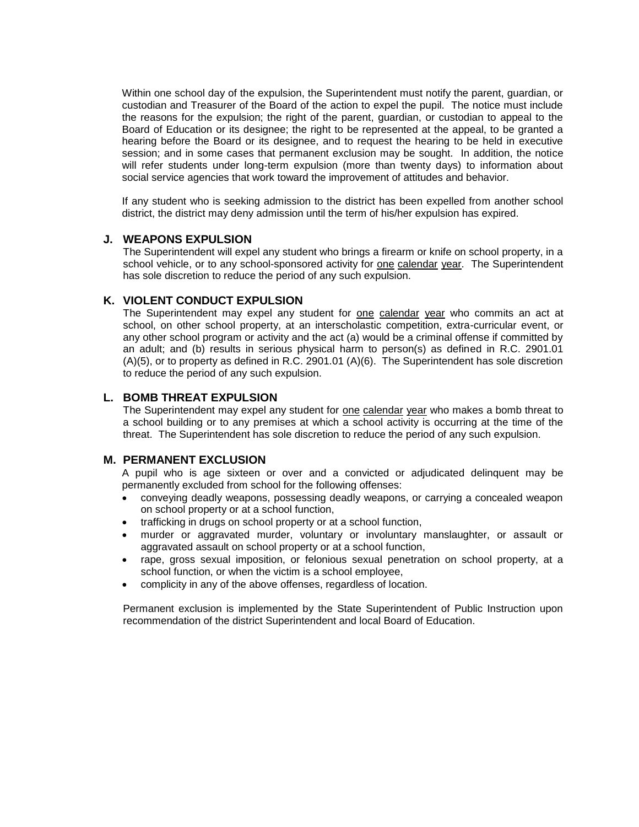Within one school day of the expulsion, the Superintendent must notify the parent, quardian, or custodian and Treasurer of the Board of the action to expel the pupil. The notice must include the reasons for the expulsion; the right of the parent, guardian, or custodian to appeal to the Board of Education or its designee; the right to be represented at the appeal, to be granted a hearing before the Board or its designee, and to request the hearing to be held in executive session; and in some cases that permanent exclusion may be sought. In addition, the notice will refer students under long-term expulsion (more than twenty days) to information about social service agencies that work toward the improvement of attitudes and behavior.

If any student who is seeking admission to the district has been expelled from another school district, the district may deny admission until the term of his/her expulsion has expired.

#### **J. WEAPONS EXPULSION**

The Superintendent will expel any student who brings a firearm or knife on school property, in a school vehicle, or to any school-sponsored activity for one calendar year. The Superintendent has sole discretion to reduce the period of any such expulsion.

#### **K. VIOLENT CONDUCT EXPULSION**

The Superintendent may expel any student for one calendar year who commits an act at school, on other school property, at an interscholastic competition, extra-curricular event, or any other school program or activity and the act (a) would be a criminal offense if committed by an adult; and (b) results in serious physical harm to person(s) as defined in R.C. 2901.01 (A)(5), or to property as defined in R.C. 2901.01 (A)(6). The Superintendent has sole discretion to reduce the period of any such expulsion.

#### **L. BOMB THREAT EXPULSION**

The Superintendent may expel any student for one calendar year who makes a bomb threat to a school building or to any premises at which a school activity is occurring at the time of the threat. The Superintendent has sole discretion to reduce the period of any such expulsion.

## **M. PERMANENT EXCLUSION**

A pupil who is age sixteen or over and a convicted or adjudicated delinquent may be permanently excluded from school for the following offenses:

- conveying deadly weapons, possessing deadly weapons, or carrying a concealed weapon on school property or at a school function,
- trafficking in drugs on school property or at a school function,
- murder or aggravated murder, voluntary or involuntary manslaughter, or assault or aggravated assault on school property or at a school function,
- rape, gross sexual imposition, or felonious sexual penetration on school property, at a school function, or when the victim is a school employee,
- complicity in any of the above offenses, regardless of location.

Permanent exclusion is implemented by the State Superintendent of Public Instruction upon recommendation of the district Superintendent and local Board of Education.